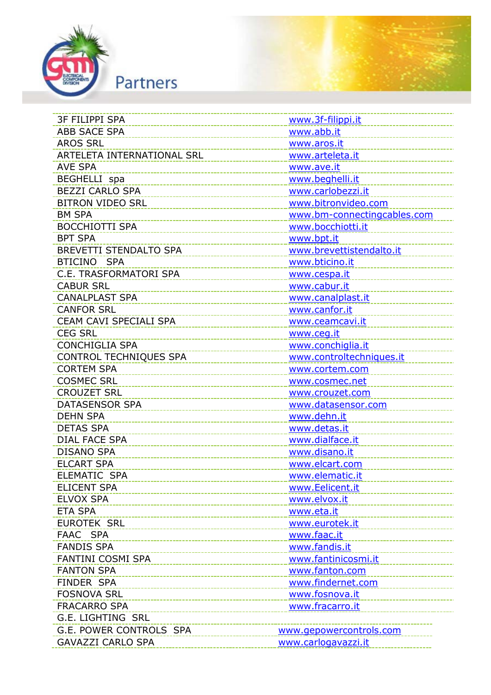



| <b>ABB SACE SPA</b><br>www.abb.it<br><b>AROS SRL</b><br>www.aros.it<br>ARTELETA INTERNATIONAL SRL<br>www.arteleta.it<br><b>AVE SPA</b><br>www.ave.it<br><b>BEGHELLI</b> spa<br>www.beghelli.it<br><b>BEZZI CARLO SPA</b><br>www.carlobezzi.it<br><b>BITRON VIDEO SRL</b><br>www.bitronvideo.com<br><b>BM SPA</b><br>www.bm-connectingcables.com<br>www.bocchiotti.it<br><b>BOCCHIOTTI SPA</b><br><b>BPT SPA</b><br>www.bpt.it<br>BREVETTI STENDALTO SPA<br>www.brevettistendalto.it<br>BTICINO SPA<br>www.bticino.it<br>C.E. TRASFORMATORI SPA<br>www.cespa.it<br><b>CABUR SRL</b><br>www.cabur.it<br><b>CANALPLAST SPA</b><br>www.canalplast.it<br><b>CANFOR SRL</b><br>www.canfor.it<br>CEAM CAVI SPECIALI SPA<br>www.ceamcavi.it<br><b>CEG SRL</b><br>www.ceg.it<br><b>CONCHIGLIA SPA</b><br>www.conchiglia.it<br>CONTROL TECHNIQUES SPA<br>www.controltechniques.it<br><b>CORTEM SPA</b><br>www.cortem.com<br><b>COSMEC SRL</b><br>www.cosmec.net<br><b>CROUZET SRL</b><br>www.crouzet.com<br><b>DATASENSOR SPA</b><br>www.datasensor.com<br><b>DEHN SPA</b><br>www.dehn.it<br><b>DETAS SPA</b><br>www.detas.it<br><b>DIAL FACE SPA</b><br>www.dialface.it<br><b>DISANO SPA</b><br>www.disano.it<br><b>ELCART SPA</b><br>www.elcart.com<br>ELEMATIC SPA<br>www.elematic.it<br><b>ELICENT SPA</b><br>www.Eelicent.it<br><b>ELVOX SPA</b><br>www.elvox.it<br><b>ETA SPA</b><br>www.eta.it<br><b>EUROTEK SRL</b><br>www.eurotek.it<br>FAAC SPA<br>www.faac.it<br><b>FANDIS SPA</b><br>www.fandis.it<br>FANTINI COSMI SPA<br>www.fantinicosmi.it<br><b>FANTON SPA</b><br>www.fanton.com<br>FINDER SPA<br>www.findernet.com<br><b>FOSNOVA SRL</b><br>www.fosnova.it<br><b>FRACARRO SPA</b><br>www.fracarro.it<br><b>G.E. LIGHTING SRL</b> |                         |  |
|------------------------------------------------------------------------------------------------------------------------------------------------------------------------------------------------------------------------------------------------------------------------------------------------------------------------------------------------------------------------------------------------------------------------------------------------------------------------------------------------------------------------------------------------------------------------------------------------------------------------------------------------------------------------------------------------------------------------------------------------------------------------------------------------------------------------------------------------------------------------------------------------------------------------------------------------------------------------------------------------------------------------------------------------------------------------------------------------------------------------------------------------------------------------------------------------------------------------------------------------------------------------------------------------------------------------------------------------------------------------------------------------------------------------------------------------------------------------------------------------------------------------------------------------------------------------------------------------------------------------------------------------------------------------------------------------------------------------------------------|-------------------------|--|
|                                                                                                                                                                                                                                                                                                                                                                                                                                                                                                                                                                                                                                                                                                                                                                                                                                                                                                                                                                                                                                                                                                                                                                                                                                                                                                                                                                                                                                                                                                                                                                                                                                                                                                                                          |                         |  |
|                                                                                                                                                                                                                                                                                                                                                                                                                                                                                                                                                                                                                                                                                                                                                                                                                                                                                                                                                                                                                                                                                                                                                                                                                                                                                                                                                                                                                                                                                                                                                                                                                                                                                                                                          |                         |  |
|                                                                                                                                                                                                                                                                                                                                                                                                                                                                                                                                                                                                                                                                                                                                                                                                                                                                                                                                                                                                                                                                                                                                                                                                                                                                                                                                                                                                                                                                                                                                                                                                                                                                                                                                          |                         |  |
|                                                                                                                                                                                                                                                                                                                                                                                                                                                                                                                                                                                                                                                                                                                                                                                                                                                                                                                                                                                                                                                                                                                                                                                                                                                                                                                                                                                                                                                                                                                                                                                                                                                                                                                                          |                         |  |
|                                                                                                                                                                                                                                                                                                                                                                                                                                                                                                                                                                                                                                                                                                                                                                                                                                                                                                                                                                                                                                                                                                                                                                                                                                                                                                                                                                                                                                                                                                                                                                                                                                                                                                                                          |                         |  |
|                                                                                                                                                                                                                                                                                                                                                                                                                                                                                                                                                                                                                                                                                                                                                                                                                                                                                                                                                                                                                                                                                                                                                                                                                                                                                                                                                                                                                                                                                                                                                                                                                                                                                                                                          |                         |  |
|                                                                                                                                                                                                                                                                                                                                                                                                                                                                                                                                                                                                                                                                                                                                                                                                                                                                                                                                                                                                                                                                                                                                                                                                                                                                                                                                                                                                                                                                                                                                                                                                                                                                                                                                          |                         |  |
|                                                                                                                                                                                                                                                                                                                                                                                                                                                                                                                                                                                                                                                                                                                                                                                                                                                                                                                                                                                                                                                                                                                                                                                                                                                                                                                                                                                                                                                                                                                                                                                                                                                                                                                                          |                         |  |
|                                                                                                                                                                                                                                                                                                                                                                                                                                                                                                                                                                                                                                                                                                                                                                                                                                                                                                                                                                                                                                                                                                                                                                                                                                                                                                                                                                                                                                                                                                                                                                                                                                                                                                                                          |                         |  |
|                                                                                                                                                                                                                                                                                                                                                                                                                                                                                                                                                                                                                                                                                                                                                                                                                                                                                                                                                                                                                                                                                                                                                                                                                                                                                                                                                                                                                                                                                                                                                                                                                                                                                                                                          |                         |  |
|                                                                                                                                                                                                                                                                                                                                                                                                                                                                                                                                                                                                                                                                                                                                                                                                                                                                                                                                                                                                                                                                                                                                                                                                                                                                                                                                                                                                                                                                                                                                                                                                                                                                                                                                          |                         |  |
|                                                                                                                                                                                                                                                                                                                                                                                                                                                                                                                                                                                                                                                                                                                                                                                                                                                                                                                                                                                                                                                                                                                                                                                                                                                                                                                                                                                                                                                                                                                                                                                                                                                                                                                                          |                         |  |
|                                                                                                                                                                                                                                                                                                                                                                                                                                                                                                                                                                                                                                                                                                                                                                                                                                                                                                                                                                                                                                                                                                                                                                                                                                                                                                                                                                                                                                                                                                                                                                                                                                                                                                                                          |                         |  |
|                                                                                                                                                                                                                                                                                                                                                                                                                                                                                                                                                                                                                                                                                                                                                                                                                                                                                                                                                                                                                                                                                                                                                                                                                                                                                                                                                                                                                                                                                                                                                                                                                                                                                                                                          |                         |  |
|                                                                                                                                                                                                                                                                                                                                                                                                                                                                                                                                                                                                                                                                                                                                                                                                                                                                                                                                                                                                                                                                                                                                                                                                                                                                                                                                                                                                                                                                                                                                                                                                                                                                                                                                          |                         |  |
|                                                                                                                                                                                                                                                                                                                                                                                                                                                                                                                                                                                                                                                                                                                                                                                                                                                                                                                                                                                                                                                                                                                                                                                                                                                                                                                                                                                                                                                                                                                                                                                                                                                                                                                                          |                         |  |
|                                                                                                                                                                                                                                                                                                                                                                                                                                                                                                                                                                                                                                                                                                                                                                                                                                                                                                                                                                                                                                                                                                                                                                                                                                                                                                                                                                                                                                                                                                                                                                                                                                                                                                                                          |                         |  |
|                                                                                                                                                                                                                                                                                                                                                                                                                                                                                                                                                                                                                                                                                                                                                                                                                                                                                                                                                                                                                                                                                                                                                                                                                                                                                                                                                                                                                                                                                                                                                                                                                                                                                                                                          |                         |  |
|                                                                                                                                                                                                                                                                                                                                                                                                                                                                                                                                                                                                                                                                                                                                                                                                                                                                                                                                                                                                                                                                                                                                                                                                                                                                                                                                                                                                                                                                                                                                                                                                                                                                                                                                          |                         |  |
|                                                                                                                                                                                                                                                                                                                                                                                                                                                                                                                                                                                                                                                                                                                                                                                                                                                                                                                                                                                                                                                                                                                                                                                                                                                                                                                                                                                                                                                                                                                                                                                                                                                                                                                                          |                         |  |
|                                                                                                                                                                                                                                                                                                                                                                                                                                                                                                                                                                                                                                                                                                                                                                                                                                                                                                                                                                                                                                                                                                                                                                                                                                                                                                                                                                                                                                                                                                                                                                                                                                                                                                                                          |                         |  |
|                                                                                                                                                                                                                                                                                                                                                                                                                                                                                                                                                                                                                                                                                                                                                                                                                                                                                                                                                                                                                                                                                                                                                                                                                                                                                                                                                                                                                                                                                                                                                                                                                                                                                                                                          |                         |  |
|                                                                                                                                                                                                                                                                                                                                                                                                                                                                                                                                                                                                                                                                                                                                                                                                                                                                                                                                                                                                                                                                                                                                                                                                                                                                                                                                                                                                                                                                                                                                                                                                                                                                                                                                          |                         |  |
|                                                                                                                                                                                                                                                                                                                                                                                                                                                                                                                                                                                                                                                                                                                                                                                                                                                                                                                                                                                                                                                                                                                                                                                                                                                                                                                                                                                                                                                                                                                                                                                                                                                                                                                                          |                         |  |
|                                                                                                                                                                                                                                                                                                                                                                                                                                                                                                                                                                                                                                                                                                                                                                                                                                                                                                                                                                                                                                                                                                                                                                                                                                                                                                                                                                                                                                                                                                                                                                                                                                                                                                                                          |                         |  |
|                                                                                                                                                                                                                                                                                                                                                                                                                                                                                                                                                                                                                                                                                                                                                                                                                                                                                                                                                                                                                                                                                                                                                                                                                                                                                                                                                                                                                                                                                                                                                                                                                                                                                                                                          |                         |  |
|                                                                                                                                                                                                                                                                                                                                                                                                                                                                                                                                                                                                                                                                                                                                                                                                                                                                                                                                                                                                                                                                                                                                                                                                                                                                                                                                                                                                                                                                                                                                                                                                                                                                                                                                          |                         |  |
|                                                                                                                                                                                                                                                                                                                                                                                                                                                                                                                                                                                                                                                                                                                                                                                                                                                                                                                                                                                                                                                                                                                                                                                                                                                                                                                                                                                                                                                                                                                                                                                                                                                                                                                                          |                         |  |
|                                                                                                                                                                                                                                                                                                                                                                                                                                                                                                                                                                                                                                                                                                                                                                                                                                                                                                                                                                                                                                                                                                                                                                                                                                                                                                                                                                                                                                                                                                                                                                                                                                                                                                                                          |                         |  |
|                                                                                                                                                                                                                                                                                                                                                                                                                                                                                                                                                                                                                                                                                                                                                                                                                                                                                                                                                                                                                                                                                                                                                                                                                                                                                                                                                                                                                                                                                                                                                                                                                                                                                                                                          |                         |  |
|                                                                                                                                                                                                                                                                                                                                                                                                                                                                                                                                                                                                                                                                                                                                                                                                                                                                                                                                                                                                                                                                                                                                                                                                                                                                                                                                                                                                                                                                                                                                                                                                                                                                                                                                          |                         |  |
|                                                                                                                                                                                                                                                                                                                                                                                                                                                                                                                                                                                                                                                                                                                                                                                                                                                                                                                                                                                                                                                                                                                                                                                                                                                                                                                                                                                                                                                                                                                                                                                                                                                                                                                                          |                         |  |
|                                                                                                                                                                                                                                                                                                                                                                                                                                                                                                                                                                                                                                                                                                                                                                                                                                                                                                                                                                                                                                                                                                                                                                                                                                                                                                                                                                                                                                                                                                                                                                                                                                                                                                                                          |                         |  |
|                                                                                                                                                                                                                                                                                                                                                                                                                                                                                                                                                                                                                                                                                                                                                                                                                                                                                                                                                                                                                                                                                                                                                                                                                                                                                                                                                                                                                                                                                                                                                                                                                                                                                                                                          |                         |  |
|                                                                                                                                                                                                                                                                                                                                                                                                                                                                                                                                                                                                                                                                                                                                                                                                                                                                                                                                                                                                                                                                                                                                                                                                                                                                                                                                                                                                                                                                                                                                                                                                                                                                                                                                          |                         |  |
|                                                                                                                                                                                                                                                                                                                                                                                                                                                                                                                                                                                                                                                                                                                                                                                                                                                                                                                                                                                                                                                                                                                                                                                                                                                                                                                                                                                                                                                                                                                                                                                                                                                                                                                                          |                         |  |
|                                                                                                                                                                                                                                                                                                                                                                                                                                                                                                                                                                                                                                                                                                                                                                                                                                                                                                                                                                                                                                                                                                                                                                                                                                                                                                                                                                                                                                                                                                                                                                                                                                                                                                                                          |                         |  |
|                                                                                                                                                                                                                                                                                                                                                                                                                                                                                                                                                                                                                                                                                                                                                                                                                                                                                                                                                                                                                                                                                                                                                                                                                                                                                                                                                                                                                                                                                                                                                                                                                                                                                                                                          |                         |  |
|                                                                                                                                                                                                                                                                                                                                                                                                                                                                                                                                                                                                                                                                                                                                                                                                                                                                                                                                                                                                                                                                                                                                                                                                                                                                                                                                                                                                                                                                                                                                                                                                                                                                                                                                          |                         |  |
|                                                                                                                                                                                                                                                                                                                                                                                                                                                                                                                                                                                                                                                                                                                                                                                                                                                                                                                                                                                                                                                                                                                                                                                                                                                                                                                                                                                                                                                                                                                                                                                                                                                                                                                                          |                         |  |
|                                                                                                                                                                                                                                                                                                                                                                                                                                                                                                                                                                                                                                                                                                                                                                                                                                                                                                                                                                                                                                                                                                                                                                                                                                                                                                                                                                                                                                                                                                                                                                                                                                                                                                                                          |                         |  |
|                                                                                                                                                                                                                                                                                                                                                                                                                                                                                                                                                                                                                                                                                                                                                                                                                                                                                                                                                                                                                                                                                                                                                                                                                                                                                                                                                                                                                                                                                                                                                                                                                                                                                                                                          |                         |  |
| www.gepowercontrols.com                                                                                                                                                                                                                                                                                                                                                                                                                                                                                                                                                                                                                                                                                                                                                                                                                                                                                                                                                                                                                                                                                                                                                                                                                                                                                                                                                                                                                                                                                                                                                                                                                                                                                                                  | G.E. POWER CONTROLS SPA |  |
| <b>GAVAZZI CARLO SPA</b><br>www.carlogavazzi.it                                                                                                                                                                                                                                                                                                                                                                                                                                                                                                                                                                                                                                                                                                                                                                                                                                                                                                                                                                                                                                                                                                                                                                                                                                                                                                                                                                                                                                                                                                                                                                                                                                                                                          |                         |  |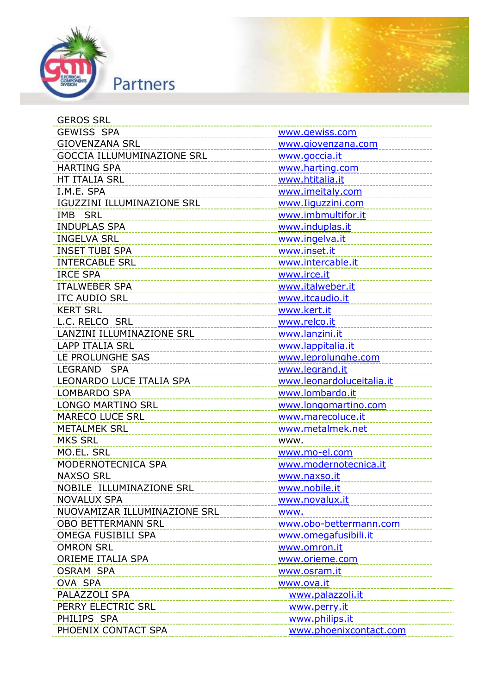

| GEROS SRL                                   |                           |
|---------------------------------------------|---------------------------|
| <b>GEWISS SPA</b>                           | www.gewiss.com            |
| <b>GIOVENZANA SRL</b>                       | www.giovenzana.com        |
| <b>GOCCIA ILLUMUMINAZIONE SRL</b>           | www.goccia.it             |
| <b>HARTING SPA</b>                          | www.harting.com           |
| HT ITALIA SRL                               | www.htitalia.it           |
| I.M.E. SPA                                  | www.imeitaly.com          |
| IGUZZINI ILLUMINAZIONE SRL                  | www.Iiguzzini.com         |
| IMB SRL                                     | www.imbmultifor.it        |
| <b>INDUPLAS SPA</b>                         | www.induplas.it           |
| <b>INGELVA SRL</b>                          | www.ingelva.it            |
| <b>INSET TUBI SPA</b>                       | www.inset.it              |
| <b>INTERCABLE SRL</b>                       | www.intercable.it         |
| <b>IRCE SPA</b>                             | www.irce.it               |
| <b>ITALWEBER SPA</b>                        | www.italweber.it          |
| <b>ITC AUDIO SRL</b>                        | www.itcaudio.it           |
| <b>KERT SRL</b>                             | www.kert.it               |
| L.C. RELCO SRL                              | www.relco.it              |
| LANZINI ILLUMINAZIONE SRL                   | www.lanzini.it            |
| <b>LAPP ITALIA SRL</b>                      | www.lappitalia.it         |
| LE PROLUNGHE SAS                            | www.leprolunghe.com       |
| LEGRAND SPA                                 | www.legrand.it            |
| LEONARDO LUCE ITALIA SPA                    | www.leonardoluceitalia.it |
| <b>LOMBARDO SPA</b>                         | www.lombardo.it           |
| <b>LONGO MARTINO SRL</b>                    | www.longomartino.com      |
| <b>MARECO LUCE SRL</b>                      | www.marecoluce.it         |
| <b>METALMEK SRL</b>                         | www.metalmek.net          |
| <b>MKS SRL</b>                              | www.                      |
| MO.EL. SRL                                  | www.mo-el.com             |
| MODERNOTECNICA SPA                          | www.modernotecnica.it     |
| <b>NAXSO SRL</b>                            | www.naxso.it              |
| NOBILE ILLUMINAZIONE SRL                    | www.nobile.it             |
| <b>NOVALUX SPA</b>                          | www.novalux.it            |
| NUOVAMIZAR ILLUMINAZIONE SRL                | www.                      |
| <b>OBO BETTERMANN SRL</b>                   | www.obo-bettermann.com    |
| OMEGA FUSIBILI SPA<br>_____________________ | www.omegafusibili.it      |
| <b>OMRON SRL</b>                            | www.omron.it              |
| ORIEME ITALIA SPA                           | www.orieme.com            |
| <b>OSRAM SPA</b>                            | www.osram.it              |
| OVA SPA                                     | www.ova.it                |
| PALAZZOLI SPA                               | www.palazzoli.it          |
| PERRY ELECTRIC SRL                          | www.perry.it              |
| PHILIPS SPA                                 | www.philips.it            |
| PHOENIX CONTACT SPA                         | www.phoenixcontact.com    |
|                                             |                           |